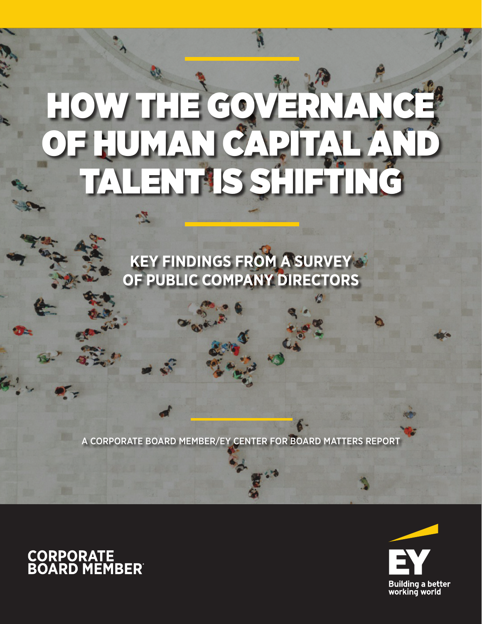# HOW THE GOVER OF HUMAN CAPITAL AND TALENT IS SHIFTING

**KEY FINDINGS FROM A SURVEY OF PUBLIC COMPANY DIRECTORS**

A CORPORATE BOARD MEMBER/EY CENTER FOR BOARD MATTERS REPORT



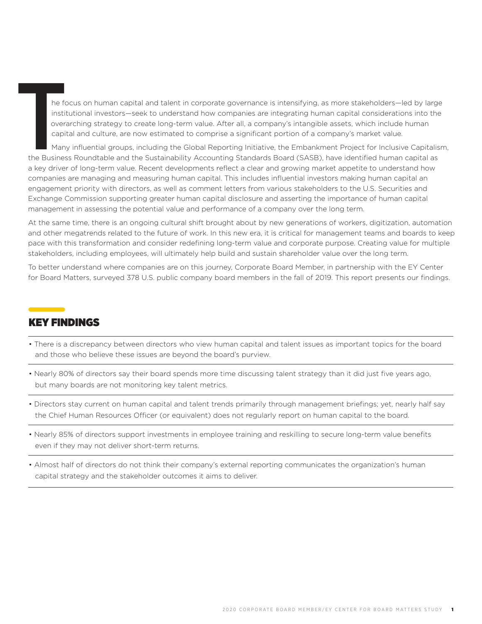he focus on human capital and talent in corporate governance is intensifying, as more stakeholders—led by large institutional investors—seek to understand how companies are integrating human capital considerations into the overarching strategy to create long-term value. After all, a company's intangible assets, which include human capital and culture, are now estimated to comprise a significant portion of a company's market value. he focus on<br>
institutional<br>
overarching<br>
capital and<br>
Many influe<br>
the Business Roun<br>
a key driver of long

 Many influential groups, including the Global Reporting Initiative, the Embankment Project for Inclusive Capitalism, the Business Roundtable and the Sustainability Accounting Standards Board (SASB), have identified human capital as a key driver of long-term value. Recent developments reflect a clear and growing market appetite to understand how companies are managing and measuring human capital. This includes influential investors making human capital an engagement priority with directors, as well as comment letters from various stakeholders to the U.S. Securities and Exchange Commission supporting greater human capital disclosure and asserting the importance of human capital management in assessing the potential value and performance of a company over the long term.

At the same time, there is an ongoing cultural shift brought about by new generations of workers, digitization, automation and other megatrends related to the future of work. In this new era, it is critical for management teams and boards to keep pace with this transformation and consider redefining long-term value and corporate purpose. Creating value for multiple stakeholders, including employees, will ultimately help build and sustain shareholder value over the long term.

To better understand where companies are on this journey, Corporate Board Member, in partnership with the EY Center for Board Matters, surveyed 378 U.S. public company board members in the fall of 2019. This report presents our findings.

## KEY FINDINGS

- There is a discrepancy between directors who view human capital and talent issues as important topics for the board and those who believe these issues are beyond the board's purview.
- Nearly 80% of directors say their board spends more time discussing talent strategy than it did just five years ago, but many boards are not monitoring key talent metrics.
- Directors stay current on human capital and talent trends primarily through management briefings; yet, nearly half say the Chief Human Resources Officer (or equivalent) does not regularly report on human capital to the board.
- Nearly 85% of directors support investments in employee training and reskilling to secure long-term value benefits even if they may not deliver short-term returns.
- Almost half of directors do not think their company's external reporting communicates the organization's human capital strategy and the stakeholder outcomes it aims to deliver.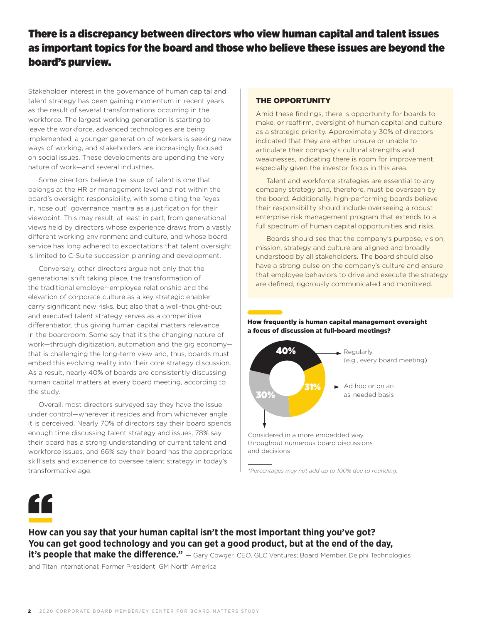## There is a discrepancy between directors who view human capital and talent issues as important topics for the board and those who believe these issues are beyond the board's purview.

Stakeholder interest in the governance of human capital and talent strategy has been gaining momentum in recent years as the result of several transformations occurring in the workforce. The largest working generation is starting to leave the workforce, advanced technologies are being implemented, a younger generation of workers is seeking new ways of working, and stakeholders are increasingly focused on social issues. These developments are upending the very nature of work—and several industries.

Some directors believe the issue of talent is one that belongs at the HR or management level and not within the board's oversight responsibility, with some citing the "eyes in, nose out" governance mantra as a justification for their viewpoint. This may result, at least in part, from generational views held by directors whose experience draws from a vastly different working environment and culture, and whose board service has long adhered to expectations that talent oversight is limited to C-Suite succession planning and development.

Conversely, other directors argue not only that the generational shift taking place, the transformation of the traditional employer-employee relationship and the elevation of corporate culture as a key strategic enabler carry significant new risks, but also that a well-thought-out and executed talent strategy serves as a competitive differentiator, thus giving human capital matters relevance in the boardroom. Some say that it's the changing nature of work—through digitization, automation and the gig economy that is challenging the long-term view and, thus, boards must embed this evolving reality into their core strategy discussion. As a result, nearly 40% of boards are consistently discussing human capital matters at every board meeting, according to the study.

Overall, most directors surveyed say they have the issue under control—wherever it resides and from whichever angle it is perceived. Nearly 70% of directors say their board spends enough time discussing talent strategy and issues, 78% say their board has a strong understanding of current talent and workforce issues, and 66% say their board has the appropriate skill sets and experience to oversee talent strategy in today's transformative age.

## THE OPPORTUNITY

Amid these findings, there is opportunity for boards to make, or reaffirm, oversight of human capital and culture as a strategic priority. Approximately 30% of directors indicated that they are either unsure or unable to articulate their company's cultural strengths and weaknesses, indicating there is room for improvement, especially given the investor focus in this area.

Talent and workforce strategies are essential to any company strategy and, therefore, must be overseen by the board. Additionally, high-performing boards believe their responsibility should include overseeing a robust enterprise risk management program that extends to a full spectrum of human capital opportunities and risks.

Boards should see that the company's purpose, vision, mission, strategy and culture are aligned and broadly understood by all stakeholders. The board should also have a strong pulse on the company's culture and ensure that employee behaviors to drive and execute the strategy are defined, rigorously communicated and monitored.

How frequently is human capital management oversight a focus of discussion at full-board meetings?



*<sup>\*</sup>Percentages may not add up to 100% due to rounding.*



" **How can you say that your human capital isn't the most important thing you've got? You can get good technology and you can get a good product, but at the end of the day, it's people that make the difference."** — Gary Cowger, CEO, GLC Ventures; Board Member, Delphi Technologies

and Titan International; Former President, GM North America

<sup>2</sup> 2020 CORPORATE BOARD MEMBER/EY CENTER FOR BOARD MATTERS STUDY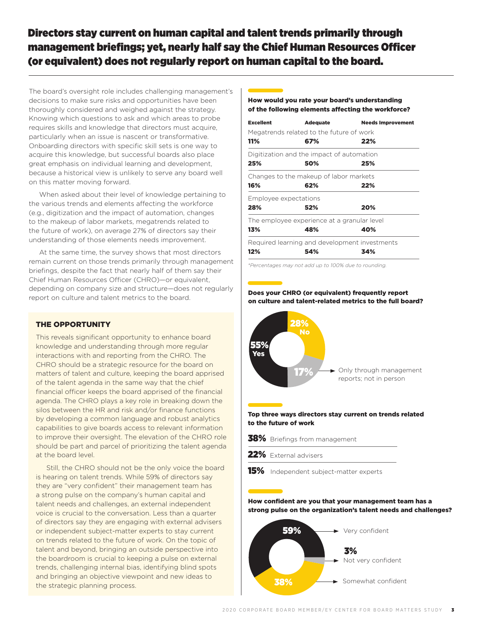## Directors stay current on human capital and talent trends primarily through management briefings; yet, nearly half say the Chief Human Resources Officer (or equivalent) does not regularly report on human capital to the board.

The board's oversight role includes challenging management's decisions to make sure risks and opportunities have been thoroughly considered and weighed against the strategy. Knowing which questions to ask and which areas to probe requires skills and knowledge that directors must acquire, particularly when an issue is nascent or transformative. Onboarding directors with specific skill sets is one way to acquire this knowledge, but successful boards also place great emphasis on individual learning and development, because a historical view is unlikely to serve any board well on this matter moving forward.

When asked about their level of knowledge pertaining to the various trends and elements affecting the workforce (e.g., digitization and the impact of automation, changes to the makeup of labor markets, megatrends related to the future of work), on average 27% of directors say their understanding of those elements needs improvement.

At the same time, the survey shows that most directors remain current on those trends primarily through management briefings, despite the fact that nearly half of them say their Chief Human Resources Officer (CHRO)—or equivalent, depending on company size and structure—does not regularly report on culture and talent metrics to the board.

## THE OPPORTUNITY

This reveals significant opportunity to enhance board knowledge and understanding through more regular interactions with and reporting from the CHRO. The CHRO should be a strategic resource for the board on matters of talent and culture, keeping the board apprised of the talent agenda in the same way that the chief financial officer keeps the board apprised of the financial agenda. The CHRO plays a key role in breaking down the silos between the HR and risk and/or finance functions by developing a common language and robust analytics capabilities to give boards access to relevant information to improve their oversight. The elevation of the CHRO role should be part and parcel of prioritizing the talent agenda at the board level.

Still, the CHRO should not be the only voice the board is hearing on talent trends. While 59% of directors say they are "very confident" their management team has a strong pulse on the company's human capital and talent needs and challenges, an external independent voice is crucial to the conversation. Less than a quarter of directors say they are engaging with external advisers or independent subject-matter experts to stay current on trends related to the future of work. On the topic of talent and beyond, bringing an outside perspective into the boardroom is crucial to keeping a pulse on external trends, challenging internal bias, identifying blind spots and bringing an objective viewpoint and new ideas to the strategic planning process.

## How would you rate your board's understanding of the following elements affecting the workforce?

| <b>Excellent</b>      | <b>Adequate</b>                               | <b>Needs Improvement</b> |
|-----------------------|-----------------------------------------------|--------------------------|
|                       | Megatrends related to the future of work      |                          |
| 11%                   | 67%                                           | 22%                      |
|                       | Digitization and the impact of automation     |                          |
| 25%                   | 50%                                           | 25%                      |
|                       | Changes to the makeup of labor markets        |                          |
| 16%                   | 62%                                           | 22%                      |
| Employee expectations |                                               |                          |
| 28%                   | 52%                                           | 20%                      |
|                       | The employee experience at a granular level   |                          |
| 13%                   | 48%                                           | 40%                      |
|                       | Required learning and development investments |                          |
| 12%                   | 54%                                           | 34%                      |
|                       |                                               |                          |

*\*Percentages may not add up to 100% due to rounding.*

## Does your CHRO (or equivalent) frequently report on culture and talent-related metrics to the full board?



#### Top three ways directors stay current on trends related to the future of work

- 38% Briefings from management
- 22% External advisers
- **15%** Independent subject-matter experts

How confident are you that your management team has a strong pulse on the organization's talent needs and challenges?

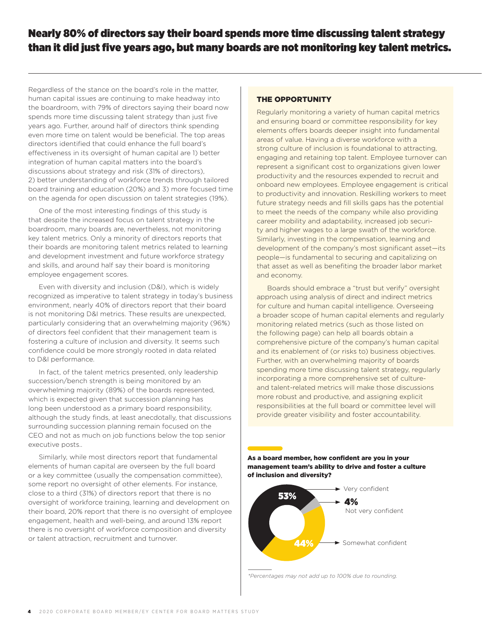## Nearly 80% of directors say their board spends more time discussing talent strategy than it did just five years ago, but many boards are not monitoring key talent metrics.

Regardless of the stance on the board's role in the matter, human capital issues are continuing to make headway into the boardroom, with 79% of directors saying their board now spends more time discussing talent strategy than just five years ago. Further, around half of directors think spending even more time on talent would be beneficial. The top areas directors identified that could enhance the full board's effectiveness in its oversight of human capital are 1) better integration of human capital matters into the board's discussions about strategy and risk (31% of directors), 2) better understanding of workforce trends through tailored board training and education (20%) and 3) more focused time on the agenda for open discussion on talent strategies (19%).

One of the most interesting findings of this study is that despite the increased focus on talent strategy in the boardroom, many boards are, nevertheless, not monitoring key talent metrics. Only a minority of directors reports that their boards are monitoring talent metrics related to learning and development investment and future workforce strategy and skills, and around half say their board is monitoring employee engagement scores.

Even with diversity and inclusion (D&I), which is widely recognized as imperative to talent strategy in today's business environment, nearly 40% of directors report that their board is not monitoring D&I metrics. These results are unexpected, particularly considering that an overwhelming majority (96%) of directors feel confident that their management team is fostering a culture of inclusion and diversity. It seems such confidence could be more strongly rooted in data related to D&I performance.

In fact, of the talent metrics presented, only leadership succession/bench strength is being monitored by an overwhelming majority (89%) of the boards represented, which is expected given that succession planning has long been understood as a primary board responsibility, although the study finds, at least anecdotally, that discussions surrounding succession planning remain focused on the CEO and not as much on job functions below the top senior executive posts..

Similarly, while most directors report that fundamental elements of human capital are overseen by the full board or a key committee (usually the compensation committee), some report no oversight of other elements. For instance, close to a third (31%) of directors report that there is no oversight of workforce training, learning and development on their board, 20% report that there is no oversight of employee engagement, health and well-being, and around 13% report there is no oversight of workforce composition and diversity or talent attraction, recruitment and turnover.

## THE OPPORTUNITY

Regularly monitoring a variety of human capital metrics and ensuring board or committee responsibility for key elements offers boards deeper insight into fundamental areas of value. Having a diverse workforce with a strong culture of inclusion is foundational to attracting, engaging and retaining top talent. Employee turnover can represent a significant cost to organizations given lower productivity and the resources expended to recruit and onboard new employees. Employee engagement is critical to productivity and innovation. Reskilling workers to meet future strategy needs and fill skills gaps has the potential to meet the needs of the company while also providing career mobility and adaptability, increased job security and higher wages to a large swath of the workforce. Similarly, investing in the compensation, learning and development of the company's most significant asset—its people—is fundamental to securing and capitalizing on that asset as well as benefiting the broader labor market and economy.

Boards should embrace a "trust but verify" oversight approach using analysis of direct and indirect metrics for culture and human capital intelligence. Overseeing a broader scope of human capital elements and regularly monitoring related metrics (such as those listed on the following page) can help all boards obtain a comprehensive picture of the company's human capital and its enablement of (or risks to) business objectives. Further, with an overwhelming majority of boards spending more time discussing talent strategy, regularly incorporating a more comprehensive set of cultureand talent-related metrics will make those discussions more robust and productive, and assigning explicit responsibilities at the full board or committee level will provide greater visibility and foster accountability.

As a board member, how confident are you in your management team's ability to drive and foster a culture of inclusion and diversity?



*\*Percentages may not add up to 100% due to rounding.*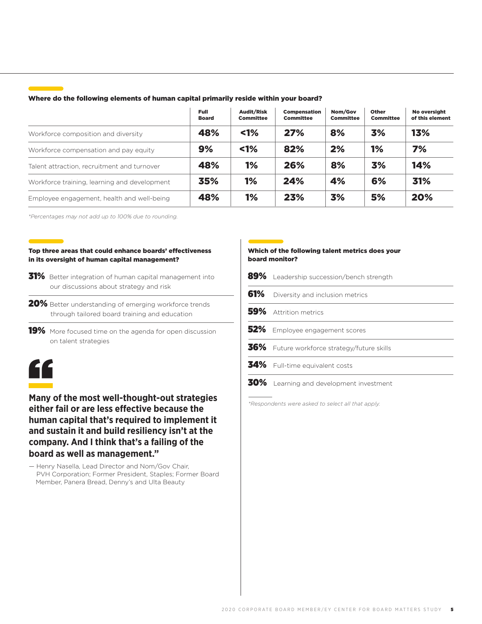### Where do the following elements of human capital primarily reside within your board?

|                                              | Full<br><b>Board</b> | <b>Audit/Risk</b><br><b>Committee</b> | <b>Compensation</b><br><b>Committee</b> | Nom/Gov<br><b>Committee</b> | <b>Other</b><br><b>Committee</b> | No oversight<br>of this element |
|----------------------------------------------|----------------------|---------------------------------------|-----------------------------------------|-----------------------------|----------------------------------|---------------------------------|
| Workforce composition and diversity          | 48%                  | $1\%$                                 | 27%                                     | 8%                          | 3%                               | 13%                             |
| Workforce compensation and pay equity        | 9%                   | 1%                                    | 82%                                     | 2%                          | 1%                               | 7%                              |
| Talent attraction, recruitment and turnover  | 48%                  | 1%                                    | 26%                                     | 8%                          | 3%                               | 14%                             |
| Workforce training, learning and development | 35%                  | 1%                                    | 24%                                     | 4%                          | 6%                               | 31%                             |
| Employee engagement, health and well-being   | 48%                  | 1%                                    | 23%                                     | 3%                          | 5%                               | 20%                             |

*\*Percentages may not add up to 100% due to rounding.*

#### Top three areas that could enhance boards' effectiveness in its oversight of human capital management?

- 31% Better integration of human capital management into our discussions about strategy and risk
- 20% Better understanding of emerging workforce trends through tailored board training and education
- 19% More focused time on the agenda for open discussion on talent strategies

## "

**Many of the most well-thought-out strategies either fail or are less effective because the human capital that's required to implement it and sustain it and build resiliency isn't at the company. And I think that's a failing of the board as well as management."**

— Henry Nasella, Lead Director and Nom/Gov Chair, PVH Corporation; Former President, Staples; Former Board Member, Panera Bread, Denny's and Ulta Beauty

## Which of the following talent metrics does your board monitor?

|     | 89% Leadership succession/bench strength    |
|-----|---------------------------------------------|
| 61% | Diversity and inclusion metrics             |
|     | 59% Attrition metrics                       |
|     | 52% Employee engagement scores              |
|     | 36% Future workforce strategy/future skills |
|     | 34% Full-time equivalent costs              |
| 30% | Learning and development investment         |

*\*Respondents were asked to select all that apply.*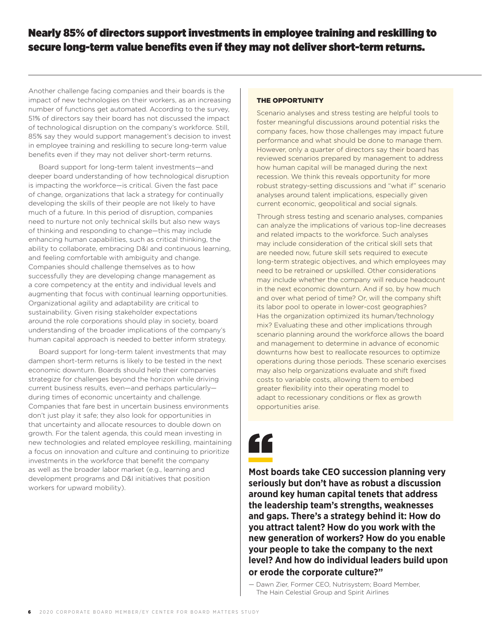## Nearly 85% of directors support investments in employee training and reskilling to secure long-term value benefits even if they may not deliver short-term returns.

Another challenge facing companies and their boards is the impact of new technologies on their workers, as an increasing number of functions get automated. According to the survey, 51% of directors say their board has not discussed the impact of technological disruption on the company's workforce. Still, 85% say they would support management's decision to invest in employee training and reskilling to secure long-term value benefits even if they may not deliver short-term returns.

Board support for long-term talent investments—and deeper board understanding of how technological disruption is impacting the workforce—is critical. Given the fast pace of change, organizations that lack a strategy for continually developing the skills of their people are not likely to have much of a future. In this period of disruption, companies need to nurture not only technical skills but also new ways of thinking and responding to change—this may include enhancing human capabilities, such as critical thinking, the ability to collaborate, embracing D&I and continuous learning, and feeling comfortable with ambiguity and change. Companies should challenge themselves as to how successfully they are developing change management as a core competency at the entity and individual levels and augmenting that focus with continual learning opportunities. Organizational agility and adaptability are critical to sustainability. Given rising stakeholder expectations around the role corporations should play in society, board understanding of the broader implications of the company's human capital approach is needed to better inform strategy.

Board support for long-term talent investments that may dampen short-term returns is likely to be tested in the next economic downturn. Boards should help their companies strategize for challenges beyond the horizon while driving current business results, even—and perhaps particularly during times of economic uncertainty and challenge. Companies that fare best in uncertain business environments don't just play it safe; they also look for opportunities in that uncertainty and allocate resources to double down on growth. For the talent agenda, this could mean investing in new technologies and related employee reskilling, maintaining a focus on innovation and culture and continuing to prioritize investments in the workforce that benefit the company as well as the broader labor market (e.g., learning and development programs and D&I initiatives that position workers for upward mobility).

## THE OPPORTUNITY

Scenario analyses and stress testing are helpful tools to foster meaningful discussions around potential risks the company faces, how those challenges may impact future performance and what should be done to manage them. However, only a quarter of directors say their board has reviewed scenarios prepared by management to address how human capital will be managed during the next recession. We think this reveals opportunity for more robust strategy-setting discussions and "what if" scenario analyses around talent implications, especially given current economic, geopolitical and social signals.

Through stress testing and scenario analyses, companies can analyze the implications of various top-line decreases and related impacts to the workforce. Such analyses may include consideration of the critical skill sets that are needed now, future skill sets required to execute long-term strategic objectives, and which employees may need to be retrained or upskilled. Other considerations may include whether the company will reduce headcount in the next economic downturn. And if so, by how much and over what period of time? Or, will the company shift its labor pool to operate in lower-cost geographies? Has the organization optimized its human/technology mix? Evaluating these and other implications through scenario planning around the workforce allows the board and management to determine in advance of economic downturns how best to reallocate resources to optimize operations during those periods. These scenario exercises may also help organizations evaluate and shift fixed costs to variable costs, allowing them to embed greater flexibility into their operating model to adapt to recessionary conditions or flex as growth opportunities arise.



**Most boards take CEO succession planning very seriously but don't have as robust a discussion around key human capital tenets that address the leadership team's strengths, weaknesses and gaps. There's a strategy behind it: How do you attract talent? How do you work with the new generation of workers? How do you enable your people to take the company to the next level? And how do individual leaders build upon or erode the corporate culture?"**

— Dawn Zier, Former CEO, Nutrisystem; Board Member, The Hain Celestial Group and Spirit Airlines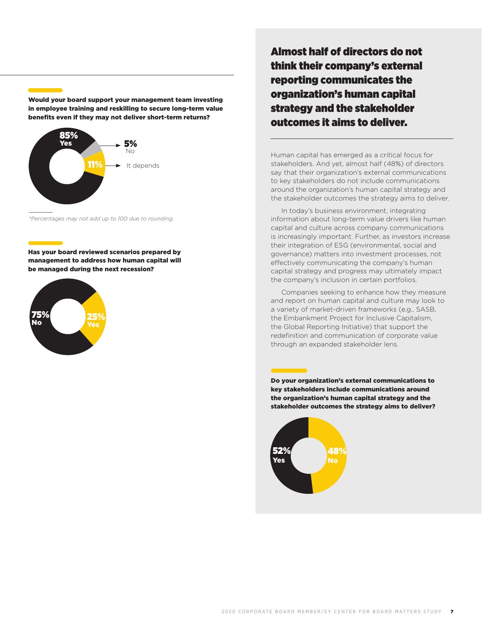Would your board support your management team investing in employee training and reskilling to secure long-term value benefits even if they may not deliver short-term returns?



*\*Percentages may not add up to 100 due to rounding.*

Has your board reviewed scenarios prepared by management to address how human capital will be managed during the next recession?



Almost half of directors do not think their company's external reporting communicates the organization's human capital strategy and the stakeholder outcomes it aims to deliver.

Human capital has emerged as a critical focus for stakeholders. And yet, almost half (48%) of directors say that their organization's external communications to key stakeholders do not include communications around the organization's human capital strategy and the stakeholder outcomes the strategy aims to deliver.

In today's business environment, integrating information about long-term value drivers like human capital and culture across company communications is increasingly important. Further, as investors increase their integration of ESG (environmental, social and governance) matters into investment processes, not effectively communicating the company's human capital strategy and progress may ultimately impact the company's inclusion in certain portfolios.

Companies seeking to enhance how they measure and report on human capital and culture may look to a variety of market-driven frameworks (e.g., SASB, the Embankment Project for Inclusive Capitalism, the Global Reporting Initiative) that support the redefinition and communication of corporate value through an expanded stakeholder lens.

Do your organization's external communications to key stakeholders include communications around the organization's human capital strategy and the stakeholder outcomes the strategy aims to deliver?

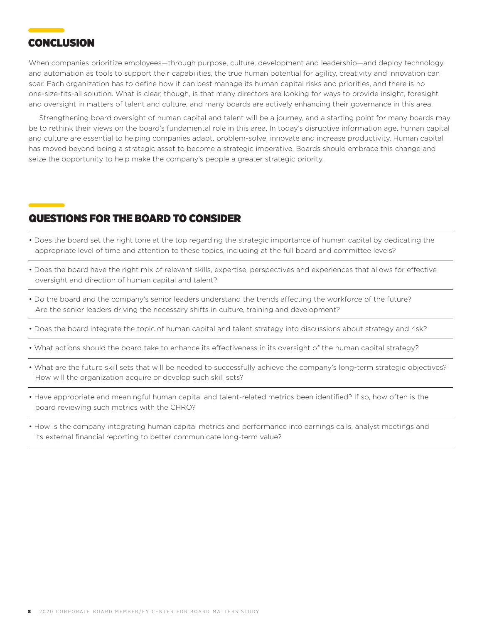## **CONCLUSION**

When companies prioritize employees—through purpose, culture, development and leadership—and deploy technology and automation as tools to support their capabilities, the true human potential for agility, creativity and innovation can soar. Each organization has to define how it can best manage its human capital risks and priorities, and there is no one-size-fits-all solution. What is clear, though, is that many directors are looking for ways to provide insight, foresight and oversight in matters of talent and culture, and many boards are actively enhancing their governance in this area.

Strengthening board oversight of human capital and talent will be a journey, and a starting point for many boards may be to rethink their views on the board's fundamental role in this area. In today's disruptive information age, human capital and culture are essential to helping companies adapt, problem-solve, innovate and increase productivity. Human capital has moved beyond being a strategic asset to become a strategic imperative. Boards should embrace this change and seize the opportunity to help make the company's people a greater strategic priority.

## QUESTIONS FOR THE BOARD TO CONSIDER

- Does the board set the right tone at the top regarding the strategic importance of human capital by dedicating the appropriate level of time and attention to these topics, including at the full board and committee levels?
- Does the board have the right mix of relevant skills, expertise, perspectives and experiences that allows for effective oversight and direction of human capital and talent?
- Do the board and the company's senior leaders understand the trends affecting the workforce of the future? Are the senior leaders driving the necessary shifts in culture, training and development?
- Does the board integrate the topic of human capital and talent strategy into discussions about strategy and risk?
- What actions should the board take to enhance its effectiveness in its oversight of the human capital strategy?
- What are the future skill sets that will be needed to successfully achieve the company's long-term strategic objectives? How will the organization acquire or develop such skill sets?
- Have appropriate and meaningful human capital and talent-related metrics been identified? If so, how often is the board reviewing such metrics with the CHRO?
- How is the company integrating human capital metrics and performance into earnings calls, analyst meetings and its external financial reporting to better communicate long-term value?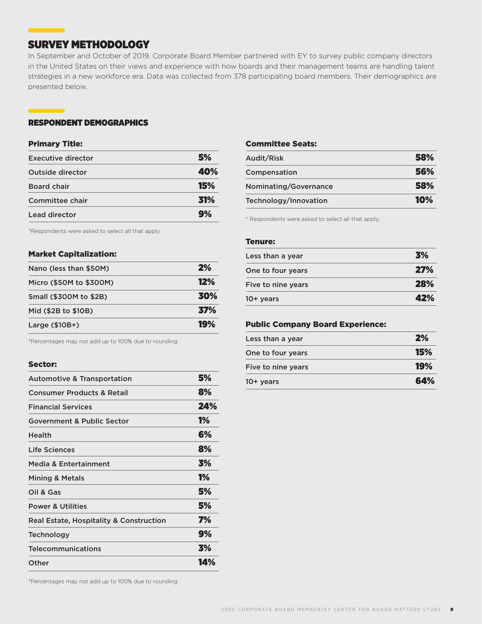## SURVEY METHODOLOGY

In September and October of 2019, Corporate Board Member partnered with EY to survey public company directors in the United States on their views and experience with how boards and their management teams are handling talent strategies in a new workforce era. Data was collected from 378 participating board members. Their demographics are presented below.

## RESPONDENT DEMOGRAPHICS

### Primary Title:

| <b>Executive director</b> | 5%              |
|---------------------------|-----------------|
| Outside director          | 40%             |
| <b>Board chair</b>        | 15%             |
| Committee chair           | <b>31%</b>      |
| Lead director             | $\mathbf{q}$ v, |

\*Respondents were asked to select all that apply.

## Market Capitalization:

| Nano (less than \$50M)  | 2%         |
|-------------------------|------------|
| Micro (\$50M to \$300M) | 12%        |
| Small (\$300M to \$2B)  | 30%        |
| Mid (\$2B to \$10B)     | <b>37%</b> |
| Large $($10B+)$         | 19%        |

\*Percentages may not add up to 100% due to rounding.

#### Sector:

| <b>Automotive &amp; Transportation</b>             | 5%        |
|----------------------------------------------------|-----------|
| <b>Consumer Products &amp; Retail</b>              | 8%        |
| <b>Financial Services</b>                          | 24%       |
| <b>Government &amp; Public Sector</b>              | <b>1%</b> |
| <b>Health</b>                                      | 6%        |
| Life Sciences                                      | 8%        |
| <b>Media &amp; Entertainment</b>                   | 3%        |
| <b>Mining &amp; Metals</b>                         | <b>1%</b> |
| Oil & Gas                                          | 5%        |
| <b>Power &amp; Utilities</b>                       | 5%        |
| <b>Real Estate, Hospitality &amp; Construction</b> | 7%        |
| <b>Technology</b>                                  | 9%        |
| <b>Telecommunications</b>                          | 3%        |
| Other                                              | 14%       |
|                                                    |           |

## Committee Seats:

| Audit/Risk            | 58%        |
|-----------------------|------------|
| Compensation          | 56%        |
| Nominating/Governance | 58%        |
| Technology/Innovation | <b>10%</b> |

\* Respondents were asked to select all that apply.

## Tenure:

| Less than a year   | 3%  |
|--------------------|-----|
| One to four years  | 27% |
| Five to nine years | 28% |
| 10+ years          | 42% |

## Public Company Board Experience:

| Less than a year   | 2%  |
|--------------------|-----|
| One to four years  | 15% |
| Five to nine years | 19% |
| $10+$ years        | 64% |

\*Percentages may not add up to 100% due to rounding.